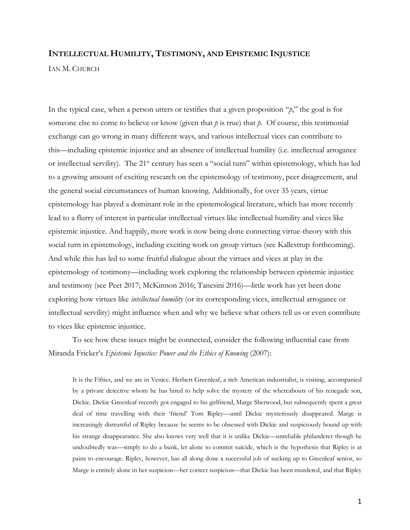### **INTELLECTUAL HUMILITY, TESTIMONY, AND EPISTEMIC INJUSTICE**

IAN M. CHURCH

In the typical case, when a person utters or testifies that a given proposition "*p*," the goal is for someone else to come to believe or know (given that *p* is true) that *p*. Of course, this testimonial exchange can go wrong in many different ways, and various intellectual vices can contribute to this—including epistemic injustice and an absence of intellectual humility (i.e. intellectual arrogance or intellectual servility). The 21<sup>st</sup> century has seen a "social turn" within epistemology, which has led to a growing amount of exciting research on the epistemology of testimony, peer disagreement, and the general social circumstances of human knowing. Additionally, for over 35 years, virtue epistemology has played a dominant role in the epistemological literature, which has more recently lead to a flurry of interest in particular intellectual virtues like intellectual humility and vices like epistemic injustice. And happily, more work is now being done connecting virtue-theory with this social turn in epistemology, including exciting work on group virtues (see Kallestrup forthcoming). And while this has led to some fruitful dialogue about the virtues and vices at play in the epistemology of testimony—including work exploring the relationship between epistemic injustice and testimony (see Peet 2017; McKinnon 2016; Tanesini 2016)—little work has yet been done exploring how virtues like *intellectual humility* (or its corresponding vices, intellectual arrogance or intellectual servility) might influence when and why we believe what others tell us or even contribute to vices like epistemic injustice.

To see how these issues might be connected, consider the following influential case from Miranda Fricker's *Epistemic Injustice: Power and the Ethics of Knowing* (2007):

It is the Fifties, and we are in Venice. Herbert Greenleaf, a rich American industrialist, is visiting, accompanied by a private detective whom he has hired to help solve the mystery of the whereabouts of his renegade son, Dickie. Dickie Greenleaf recently got engaged to his girlfriend, Marge Sherwood, but subsequently spent a great deal of time travelling with their 'friend' Tom Ripley—until Dickie mysteriously disappeared. Marge is increasingly distrustful of Ripley because he seems to be obsessed with Dickie and suspiciously bound up with his strange disappearance. She also knows very well that it is unlike Dickie—unreliable philanderer though he undoubtedly was—simply to do a bunk, let alone to commit suicide, which is the hypothesis that Ripley is at pains to encourage. Ripley, however, has all along done a successful job of sucking up to Greenleaf senior, so Marge is entirely alone in her suspicion—her correct suspicion—that Dickie has been murdered, and that Ripley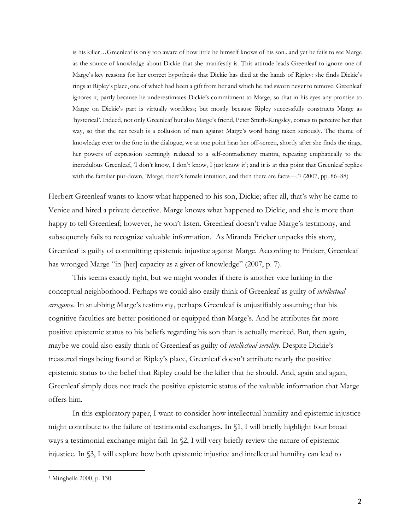is his killer…Greenleaf is only too aware of how little he himself knows of his son...and yet he fails to see Marge as the source of knowledge about Dickie that she manifestly is. This attitude leads Greenleaf to ignore one of Marge's key reasons for her correct hypothesis that Dickie has died at the hands of Ripley: she finds Dickie's rings at Ripley's place, one of which had been a gift from her and which he had sworn never to remove. Greenleaf ignores it, partly because he underestimates Dickie's commitment to Marge, so that in his eyes any promise to Marge on Dickie's part is virtually worthless; but mostly because Ripley successfully constructs Marge as 'hysterical'. Indeed, not only Greenleaf but also Marge's friend, Peter Smith-Kingsley, comes to perceive her that way, so that the net result is a collusion of men against Marge's word being taken seriously. The theme of knowledge ever to the fore in the dialogue, we at one point hear her off-screen, shortly after she finds the rings, her powers of expression seemingly reduced to a self-contradictory mantra, repeating emphatically to the incredulous Greenleaf, 'I don't know, I don't know, I just know it'; and it is at this point that Greenleaf replies with the familiar put-down, 'Marge, there's female intuition, and then there are facts—.'<sup>1</sup> (2007, pp. 86–88)

Herbert Greenleaf wants to know what happened to his son, Dickie; after all, that's why he came to Venice and hired a private detective. Marge knows what happened to Dickie, and she is more than happy to tell Greenleaf; however, he won't listen. Greenleaf doesn't value Marge's testimony, and subsequently fails to recognize valuable information. As Miranda Fricker unpacks this story, Greenleaf is guilty of committing epistemic injustice against Marge. According to Fricker, Greenleaf has wronged Marge "in [her] capacity as a giver of knowledge" (2007, p. 7).

This seems exactly right, but we might wonder if there is another vice lurking in the conceptual neighborhood. Perhaps we could also easily think of Greenleaf as guilty of *intellectual arrogance*. In snubbing Marge's testimony, perhaps Greenleaf is unjustifiably assuming that his cognitive faculties are better positioned or equipped than Marge's. And he attributes far more positive epistemic status to his beliefs regarding his son than is actually merited. But, then again, maybe we could also easily think of Greenleaf as guilty of *intellectual servility*. Despite Dickie's treasured rings being found at Ripley's place, Greenleaf doesn't attribute nearly the positive epistemic status to the belief that Ripley could be the killer that he should. And, again and again, Greenleaf simply does not track the positive epistemic status of the valuable information that Marge offers him.

In this exploratory paper, I want to consider how intellectual humility and epistemic injustice might contribute to the failure of testimonial exchanges. In §1, I will briefly highlight four broad ways a testimonial exchange might fail. In §2, I will very briefly review the nature of epistemic injustice. In §3, I will explore how both epistemic injustice and intellectual humility can lead to

<sup>1</sup> Minghella 2000, p. 130.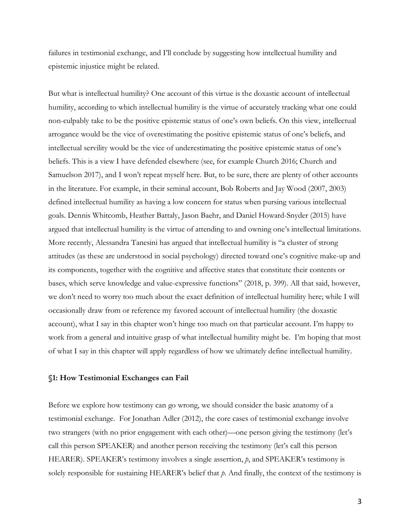failures in testimonial exchange, and I'll conclude by suggesting how intellectual humility and epistemic injustice might be related.

But what is intellectual humility? One account of this virtue is the doxastic account of intellectual humility, according to which intellectual humility is the virtue of accurately tracking what one could non-culpably take to be the positive epistemic status of one's own beliefs. On this view, intellectual arrogance would be the vice of overestimating the positive epistemic status of one's beliefs, and intellectual servility would be the vice of underestimating the positive epistemic status of one's beliefs. This is a view I have defended elsewhere (see, for example Church 2016; Church and Samuelson 2017), and I won't repeat myself here. But, to be sure, there are plenty of other accounts in the literature. For example, in their seminal account, Bob Roberts and Jay Wood (2007, 2003) defined intellectual humility as having a low concern for status when pursing various intellectual goals. Dennis Whitcomb, Heather Battaly, Jason Baehr, and Daniel Howard-Snyder (2015) have argued that intellectual humility is the virtue of attending to and owning one's intellectual limitations. More recently, Alessandra Tanesini has argued that intellectual humility is "a cluster of strong attitudes (as these are understood in social psychology) directed toward one's cognitive make-up and its components, together with the cognitive and affective states that constitute their contents or bases, which serve knowledge and value-expressive functions" (2018, p. 399). All that said, however, we don't need to worry too much about the exact definition of intellectual humility here; while I will occasionally draw from or reference my favored account of intellectual humility (the doxastic account), what I say in this chapter won't hinge too much on that particular account. I'm happy to work from a general and intuitive grasp of what intellectual humility might be. I'm hoping that most of what I say in this chapter will apply regardless of how we ultimately define intellectual humility.

### **§1: How Testimonial Exchanges can Fail**

Before we explore how testimony can go wrong, we should consider the basic anatomy of a testimonial exchange. For Jonathan Adler (2012), the core cases of testimonial exchange involve two strangers (with no prior engagement with each other)—one person giving the testimony (let's call this person SPEAKER) and another person receiving the testimony (let's call this person HEARER). SPEAKER's testimony involves a single assertion, *p*, and SPEAKER's testimony is solely responsible for sustaining HEARER's belief that *p*. And finally, the context of the testimony is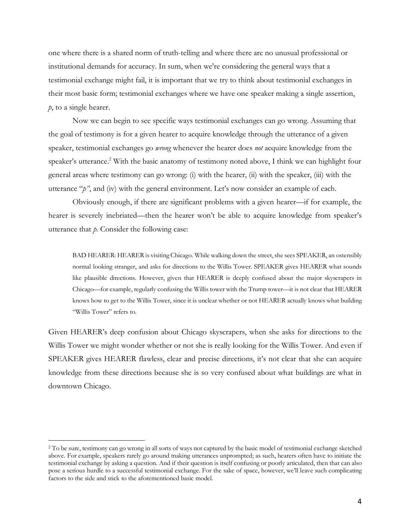one where there is a shared norm of truth-telling and where there are no unusual professional or institutional demands for accuracy. In sum, when we're considering the general ways that a testimonial exchange might fail, it is important that we try to think about testimonial exchanges in their most basic form; testimonial exchanges where we have one speaker making a single assertion, *p*, to a single hearer.

Now we can begin to see specific ways testimonial exchanges can go wrong. Assuming that the goal of testimony is for a given hearer to acquire knowledge through the utterance of a given speaker, testimonial exchanges go *wrong* whenever the hearer does *not* acquire knowledge from the speaker's utterance.<sup>2</sup> With the basic anatomy of testimony noted above, I think we can highlight four general areas where testimony can go wrong: (i) with the hearer, (ii) with the speaker, (iii) with the utterance "*p"*, and (iv) with the general environment. Let's now consider an example of each.

Obviously enough, if there are significant problems with a given hearer—if for example, the hearer is severely inebriated—then the hearer won't be able to acquire knowledge from speaker's utterance that *p.* Consider the following case:

BAD HEARER: HEARER is visiting Chicago. While walking down the street, she sees SPEAKER, an ostensibly normal looking stranger, and asks for directions to the Willis Tower. SPEAKER gives HEARER what sounds like plausible directions. However, given that HEARER is deeply confused about the major skyscrapers in Chicago—for example, regularly confusing the Willis tower with the Trump tower—it is not clear that HEARER knows how to get to the Willis Tower, since it is unclear whether or not HEARER actually knows what building "Willis Tower" refers to.

Given HEARER's deep confusion about Chicago skyscrapers, when she asks for directions to the Willis Tower we might wonder whether or not she is really looking for the Willis Tower. And even if SPEAKER gives HEARER flawless, clear and precise directions, it's not clear that she can acquire knowledge from these directions because she is so very confused about what buildings are what in downtown Chicago.

<sup>&</sup>lt;sup>2</sup> To be sure, testimony can go wrong in all sorts of ways not captured by the basic model of testimonial exchange sketched above. For example, speakers rarely go around making utterances unprompted; as such, hearers often have to initiate the testimonial exchange by asking a question. And if their question is itself confusing or poorly articulated, then that can also pose a serious hurdle to a successful testimonial exchange. For the sake of space, however, we'll leave such complicating factors to the side and stick to the aforementioned basic model.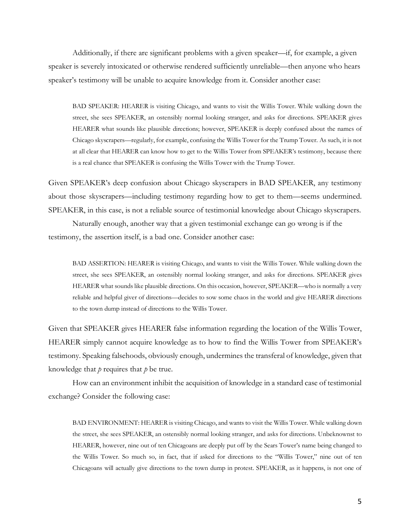Additionally, if there are significant problems with a given speaker—if, for example, a given speaker is severely intoxicated or otherwise rendered sufficiently unreliable—then anyone who hears speaker's testimony will be unable to acquire knowledge from it. Consider another case:

BAD SPEAKER: HEARER is visiting Chicago, and wants to visit the Willis Tower. While walking down the street, she sees SPEAKER, an ostensibly normal looking stranger, and asks for directions. SPEAKER gives HEARER what sounds like plausible directions; however, SPEAKER is deeply confused about the names of Chicago skyscrapers—regularly, for example, confusing the Willis Tower for the Trump Tower. As such, it is not at all clear that HEARER can know how to get to the Willis Tower from SPEAKER's testimony, because there is a real chance that SPEAKER is confusing the Willis Tower with the Trump Tower.

Given SPEAKER's deep confusion about Chicago skyscrapers in BAD SPEAKER, any testimony about those skyscrapers—including testimony regarding how to get to them—seems undermined. SPEAKER, in this case, is not a reliable source of testimonial knowledge about Chicago skyscrapers.

Naturally enough, another way that a given testimonial exchange can go wrong is if the testimony, the assertion itself, is a bad one. Consider another case:

BAD ASSERTION: HEARER is visiting Chicago, and wants to visit the Willis Tower. While walking down the street, she sees SPEAKER, an ostensibly normal looking stranger, and asks for directions. SPEAKER gives HEARER what sounds like plausible directions. On this occasion, however, SPEAKER—who is normally a very reliable and helpful giver of directions—decides to sow some chaos in the world and give HEARER directions to the town dump instead of directions to the Willis Tower.

Given that SPEAKER gives HEARER false information regarding the location of the Willis Tower, HEARER simply cannot acquire knowledge as to how to find the Willis Tower from SPEAKER's testimony. Speaking falsehoods, obviously enough, undermines the transferal of knowledge, given that knowledge that *p* requires that *p* be true.

How can an environment inhibit the acquisition of knowledge in a standard case of testimonial exchange? Consider the following case:

BAD ENVIRONMENT: HEARER is visiting Chicago, and wants to visit the Willis Tower. While walking down the street, she sees SPEAKER, an ostensibly normal looking stranger, and asks for directions. Unbeknownst to HEARER, however, nine out of ten Chicagoans are deeply put off by the Sears Tower's name being changed to the Willis Tower. So much so, in fact, that if asked for directions to the "Willis Tower," nine out of ten Chicagoans will actually give directions to the town dump in protest. SPEAKER, as it happens, is not one of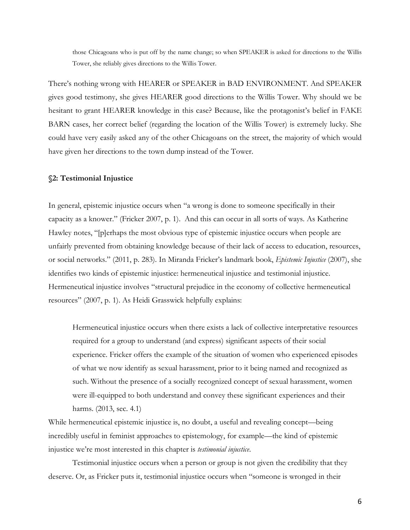those Chicagoans who is put off by the name change; so when SPEAKER is asked for directions to the Willis Tower, she reliably gives directions to the Willis Tower.

There's nothing wrong with HEARER or SPEAKER in BAD ENVIRONMENT. And SPEAKER gives good testimony, she gives HEARER good directions to the Willis Tower. Why should we be hesitant to grant HEARER knowledge in this case? Because, like the protagonist's belief in FAKE BARN cases, her correct belief (regarding the location of the Willis Tower) is extremely lucky. She could have very easily asked any of the other Chicagoans on the street, the majority of which would have given her directions to the town dump instead of the Tower.

## **§2: Testimonial Injustice**

In general, epistemic injustice occurs when "a wrong is done to someone specifically in their capacity as a knower." (Fricker 2007, p. 1). And this can occur in all sorts of ways. As Katherine Hawley notes, "[p]erhaps the most obvious type of epistemic injustice occurs when people are unfairly prevented from obtaining knowledge because of their lack of access to education, resources, or social networks." (2011, p. 283). In Miranda Fricker's landmark book, *Epistemic Injustice* (2007), she identifies two kinds of epistemic injustice: hermeneutical injustice and testimonial injustice. Hermeneutical injustice involves "structural prejudice in the economy of collective hermeneutical resources" (2007, p. 1). As Heidi Grasswick helpfully explains:

Hermeneutical injustice occurs when there exists a lack of collective interpretative resources required for a group to understand (and express) significant aspects of their social experience. Fricker offers the example of the situation of women who experienced episodes of what we now identify as sexual harassment, prior to it being named and recognized as such. Without the presence of a socially recognized concept of sexual harassment, women were ill-equipped to both understand and convey these significant experiences and their harms. (2013, sec. 4.1)

While hermeneutical epistemic injustice is, no doubt, a useful and revealing concept—being incredibly useful in feminist approaches to epistemology, for example—the kind of epistemic injustice we're most interested in this chapter is *testimonial injustice*.

Testimonial injustice occurs when a person or group is not given the credibility that they deserve. Or, as Fricker puts it, testimonial injustice occurs when "someone is wronged in their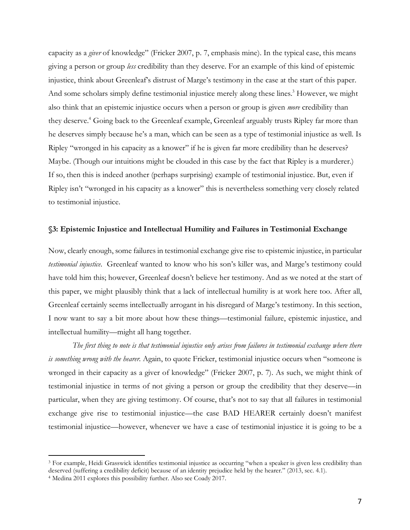capacity as a *giver* of knowledge" (Fricker 2007, p. 7, emphasis mine). In the typical case, this means giving a person or group *less* credibility than they deserve. For an example of this kind of epistemic injustice, think about Greenleaf's distrust of Marge's testimony in the case at the start of this paper. And some scholars simply define testimonial injustice merely along these lines.<sup>3</sup> However, we might also think that an epistemic injustice occurs when a person or group is given *more* credibility than they deserve.<sup>4</sup> Going back to the Greenleaf example, Greenleaf arguably trusts Ripley far more than he deserves simply because he's a man, which can be seen as a type of testimonial injustice as well. Is Ripley "wronged in his capacity as a knower" if he is given far more credibility than he deserves? Maybe. (Though our intuitions might be clouded in this case by the fact that Ripley is a murderer.) If so, then this is indeed another (perhaps surprising) example of testimonial injustice. But, even if Ripley isn't "wronged in his capacity as a knower" this is nevertheless something very closely related to testimonial injustice.

#### **§3: Epistemic Injustice and Intellectual Humility and Failures in Testimonial Exchange**

Now, clearly enough, some failures in testimonial exchange give rise to epistemic injustice, in particular *testimonial injustice*. Greenleaf wanted to know who his son's killer was, and Marge's testimony could have told him this; however, Greenleaf doesn't believe her testimony. And as we noted at the start of this paper, we might plausibly think that a lack of intellectual humility is at work here too. After all, Greenleaf certainly seems intellectually arrogant in his disregard of Marge's testimony. In this section, I now want to say a bit more about how these things—testimonial failure, epistemic injustice, and intellectual humility—might all hang together.

The first thing to note is that testimonial injustice only arises from failures in testimonial exchange where there *is something wrong with the hearer.* Again, to quote Fricker, testimonial injustice occurs when "someone is wronged in their capacity as a giver of knowledge" (Fricker 2007, p. 7). As such, we might think of testimonial injustice in terms of not giving a person or group the credibility that they deserve—in particular, when they are giving testimony. Of course, that's not to say that all failures in testimonial exchange give rise to testimonial injustice—the case BAD HEARER certainly doesn't manifest testimonial injustice—however, whenever we have a case of testimonial injustice it is going to be a

<sup>3</sup> For example, Heidi Grasswick identifies testimonial injustice as occurring "when a speaker is given less credibility than deserved (suffering a credibility deficit) because of an identity prejudice held by the hearer." (2013, sec. 4.1).

<sup>4</sup> Medina 2011 explores this possibility further. Also see Coady 2017.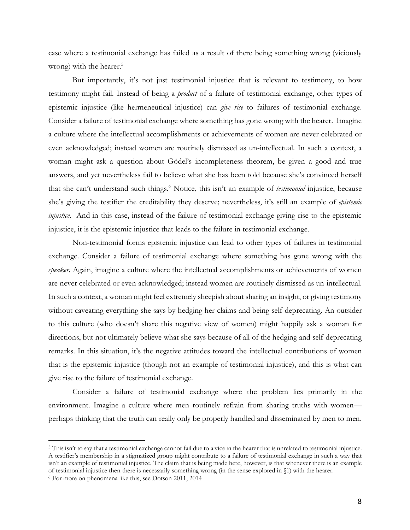case where a testimonial exchange has failed as a result of there being something wrong (viciously wrong) with the hearer.<sup>5</sup>

But importantly, it's not just testimonial injustice that is relevant to testimony, to how testimony might fail. Instead of being a *product* of a failure of testimonial exchange, other types of epistemic injustice (like hermeneutical injustice) can *give rise* to failures of testimonial exchange. Consider a failure of testimonial exchange where something has gone wrong with the hearer. Imagine a culture where the intellectual accomplishments or achievements of women are never celebrated or even acknowledged; instead women are routinely dismissed as un-intellectual. In such a context, a woman might ask a question about Gödel's incompleteness theorem, be given a good and true answers, and yet nevertheless fail to believe what she has been told because she's convinced herself that she can't understand such things.<sup>6</sup> Notice, this isn't an example of *testimonial* injustice, because she's giving the testifier the creditability they deserve; nevertheless, it's still an example of *epistemic injustice*. And in this case, instead of the failure of testimonial exchange giving rise to the epistemic injustice, it is the epistemic injustice that leads to the failure in testimonial exchange.

Non-testimonial forms epistemic injustice can lead to other types of failures in testimonial exchange. Consider a failure of testimonial exchange where something has gone wrong with the *speaker*. Again, imagine a culture where the intellectual accomplishments or achievements of women are never celebrated or even acknowledged; instead women are routinely dismissed as un-intellectual. In such a context, a woman might feel extremely sheepish about sharing an insight, or giving testimony without caveating everything she says by hedging her claims and being self-deprecating. An outsider to this culture (who doesn't share this negative view of women) might happily ask a woman for directions, but not ultimately believe what she says because of all of the hedging and self-deprecating remarks. In this situation, it's the negative attitudes toward the intellectual contributions of women that is the epistemic injustice (though not an example of testimonial injustice), and this is what can give rise to the failure of testimonial exchange.

Consider a failure of testimonial exchange where the problem lies primarily in the environment. Imagine a culture where men routinely refrain from sharing truths with women perhaps thinking that the truth can really only be properly handled and disseminated by men to men.

<sup>5</sup> This isn't to say that a testimonial exchange cannot fail due to a vice in the hearer that is unrelated to testimonial injustice. A testifier's membership in a stigmatized group might contribute to a failure of testimonial exchange in such a way that isn't an example of testimonial injustice. The claim that is being made here, however, is that whenever there is an example of testimonial injustice then there is necessarily something wrong (in the sense explored in §1) with the hearer. 6 For more on phenomena like this, see Dotson 2011, 2014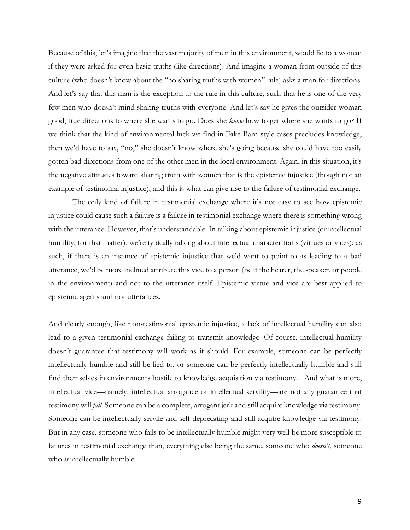Because of this, let's imagine that the vast majority of men in this environment, would lie to a woman if they were asked for even basic truths (like directions). And imagine a woman from outside of this culture (who doesn't know about the "no sharing truths with women" rule) asks a man for directions. And let's say that this man is the exception to the rule in this culture, such that he is one of the very few men who doesn't mind sharing truths with everyone. And let's say he gives the outsider woman good, true directions to where she wants to go. Does she *know* how to get where she wants to go? If we think that the kind of environmental luck we find in Fake Barn-style cases precludes knowledge, then we'd have to say, "no," she doesn't know where she's going because she could have too easily gotten bad directions from one of the other men in the local environment. Again, in this situation, it's the negative attitudes toward sharing truth with women that is the epistemic injustice (though not an example of testimonial injustice), and this is what can give rise to the failure of testimonial exchange.

The only kind of failure in testimonial exchange where it's not easy to see how epistemic injustice could cause such a failure is a failure in testimonial exchange where there is something wrong with the utterance. However, that's understandable. In talking about epistemic injustice (or intellectual humility, for that matter), we're typically talking about intellectual character traits (virtues or vices); as such, if there is an instance of epistemic injustice that we'd want to point to as leading to a bad utterance, we'd be more inclined attribute this vice to a person (be it the hearer, the speaker, or people in the environment) and not to the utterance itself. Epistemic virtue and vice are best applied to epistemic agents and not utterances.

And clearly enough, like non-testimonial epistemic injustice, a lack of intellectual humility can also lead to a given testimonial exchange failing to transmit knowledge. Of course, intellectual humility doesn't guarantee that testimony will work as it should. For example, someone can be perfectly intellectually humble and still be lied to, or someone can be perfectly intellectually humble and still find themselves in environments hostile to knowledge acquisition via testimony. And what is more, intellectual vice—namely, intellectual arrogance or intellectual servility—are not any guarantee that testimony will *fail*. Someone can be a complete, arrogant jerk and still acquire knowledge via testimony. Someone can be intellectually servile and self-deprecating and still acquire knowledge via testimony. But in any case, someone who fails to be intellectually humble might very well be more susceptible to failures in testimonial exchange than, everything else being the same, someone who *doesn't*, someone who *is* intellectually humble.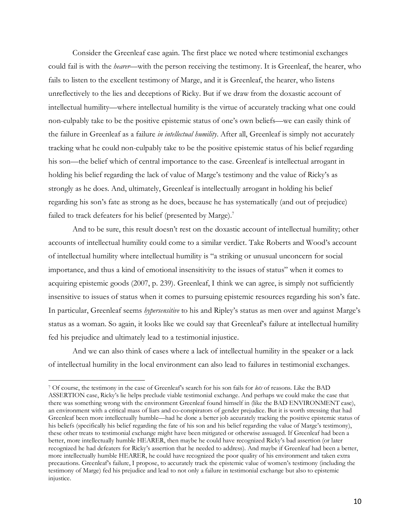Consider the Greenleaf case again. The first place we noted where testimonial exchanges could fail is with the *hearer*—with the person receiving the testimony. It is Greenleaf, the hearer, who fails to listen to the excellent testimony of Marge, and it is Greenleaf, the hearer, who listens unreflectively to the lies and deceptions of Ricky. But if we draw from the doxastic account of intellectual humility—where intellectual humility is the virtue of accurately tracking what one could non-culpably take to be the positive epistemic status of one's own beliefs—we can easily think of the failure in Greenleaf as a failure *in intellectual humility*. After all, Greenleaf is simply not accurately tracking what he could non-culpably take to be the positive epistemic status of his belief regarding his son—the belief which of central importance to the case. Greenleaf is intellectual arrogant in holding his belief regarding the lack of value of Marge's testimony and the value of Ricky's as strongly as he does. And, ultimately, Greenleaf is intellectually arrogant in holding his belief regarding his son's fate as strong as he does, because he has systematically (and out of prejudice) failed to track defeaters for his belief (presented by Marge).<sup>7</sup>

And to be sure, this result doesn't rest on the doxastic account of intellectual humility; other accounts of intellectual humility could come to a similar verdict. Take Roberts and Wood's account of intellectual humility where intellectual humility is "a striking or unusual unconcern for social importance, and thus a kind of emotional insensitivity to the issues of status" when it comes to acquiring epistemic goods (2007, p. 239). Greenleaf, I think we can agree, is simply not sufficiently insensitive to issues of status when it comes to pursuing epistemic resources regarding his son's fate. In particular, Greenleaf seems *hypersensitive* to his and Ripley's status as men over and against Marge's status as a woman. So again, it looks like we could say that Greenleaf's failure at intellectual humility fed his prejudice and ultimately lead to a testimonial injustice.

And we can also think of cases where a lack of intellectual humility in the speaker or a lack of intellectual humility in the local environment can also lead to failures in testimonial exchanges.

<sup>7</sup> Of course, the testimony in the case of Greenleaf's search for his son fails for *lots* of reasons. Like the BAD ASSERTION case, Ricky's lie helps preclude viable testimonial exchange. And perhaps we could make the case that there was something wrong with the environment Greenleaf found himself in (like the BAD ENVIRONMENT case), an environment with a critical mass of liars and co-conspirators of gender prejudice. But it is worth stressing that had Greenleaf been more intellectually humble—had he done a better job accurately tracking the positive epistemic status of his beliefs (specifically his belief regarding the fate of his son and his belief regarding the value of Marge's testimony), these other treats to testimonial exchange might have been mitigated or otherwise assuaged. If Greenleaf had been a better, more intellectually humble HEARER, then maybe he could have recognized Ricky's bad assertion (or later recognized he had defeaters for Ricky's assertion that he needed to address). And maybe if Greenleaf had been a better, more intellectually humble HEARER, he could have recognized the poor quality of his environment and taken extra precautions. Greenleaf's failure, I propose, to accurately track the epistemic value of women's testimony (including the testimony of Marge) fed his prejudice and lead to not only a failure in testimonial exchange but also to epistemic injustice.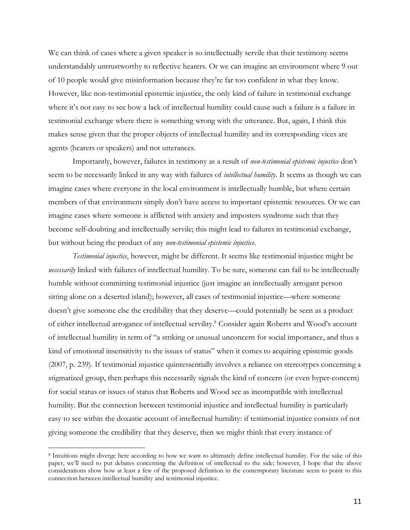We can think of cases where a given speaker is so intellectually servile that their testimony seems understandably untrustworthy to reflective hearers. Or we can imagine an environment where 9 out of 10 people would give misinformation because they're far too confident in what they know. However, like non-testimonial epistemic injustice, the only kind of failure in testimonial exchange where it's not easy to see how a lack of intellectual humility could cause such a failure is a failure in testimonial exchange where there is something wrong with the utterance. But, again, I think this makes sense given that the proper objects of intellectual humility and its corresponding vices are agents (hearers or speakers) and not utterances.

Importantly, however, failures in testimony as a result of *non-testimonial epistemic injustice* don't seem to be necessarily linked in any way with failures of *intellectual humility*. It seems as though we can imagine cases where everyone in the local environment is intellectually humble, but where certain members of that environment simply don't have access to important epistemic resources. Or we can imagine cases where someone is afflicted with anxiety and imposters syndrome such that they become self-doubting and intellectually servile; this might lead to failures in testimonial exchange, but without being the product of any *non-testimonial epistemic injustice*.

*Testimonial injustice*, however, might be different. It seems like testimonial injustice might be *necessarily* linked with failures of intellectual humility. To be sure, someone can fail to be intellectually humble without committing testimonial injustice (just imagine an intellectually arrogant person sitting alone on a deserted island); however, all cases of testimonial injustice—where someone doesn't give someone else the credibility that they deserve—could potentially be seen as a product of either intellectual arrogance of intellectual servility.8 Consider again Roberts and Wood's account of intellectual humility in term of "a striking or unusual unconcern for social importance, and thus a kind of emotional insensitivity to the issues of status" when it comes to acquiring epistemic goods (2007, p. 239). If testimonial injustice quintessentially involves a reliance on stereotypes concerning a stigmatized group, then perhaps this necessarily signals the kind of concern (or even hyper-concern) for social status or issues of status that Roberts and Wood see as incompatible with intellectual humility. But the connection between testimonial injustice and intellectual humility is particularly easy to see within the doxastic account of intellectual humility: if testimonial injustice consists of not giving someone the credibility that they deserve, then we might think that every instance of

<sup>8</sup> Intuitions might diverge here according to how we want to ultimately define intellectual humility. For the sake of this paper, we'll need to put debates concerning the definition of intellectual to the side; however, I hope that the above considerations show how at least a few of the proposed definition in the contemporary literature seem to point to this connection between intellectual humility and testimonial injustice.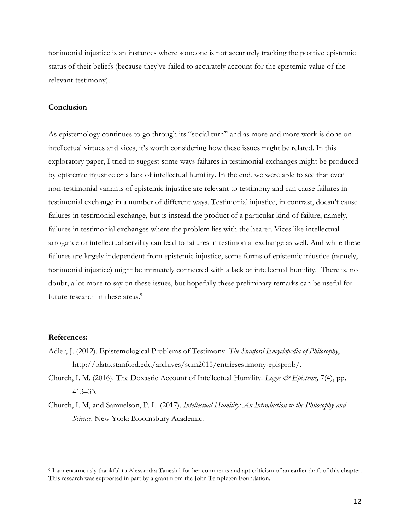testimonial injustice is an instances where someone is not accurately tracking the positive epistemic status of their beliefs (because they've failed to accurately account for the epistemic value of the relevant testimony).

# **Conclusion**

As epistemology continues to go through its "social turn" and as more and more work is done on intellectual virtues and vices, it's worth considering how these issues might be related. In this exploratory paper, I tried to suggest some ways failures in testimonial exchanges might be produced by epistemic injustice or a lack of intellectual humility. In the end, we were able to see that even non-testimonial variants of epistemic injustice are relevant to testimony and can cause failures in testimonial exchange in a number of different ways. Testimonial injustice, in contrast, doesn't cause failures in testimonial exchange, but is instead the product of a particular kind of failure, namely, failures in testimonial exchanges where the problem lies with the hearer. Vices like intellectual arrogance or intellectual servility can lead to failures in testimonial exchange as well. And while these failures are largely independent from epistemic injustice, some forms of epistemic injustice (namely, testimonial injustice) might be intimately connected with a lack of intellectual humility. There is, no doubt, a lot more to say on these issues, but hopefully these preliminary remarks can be useful for future research in these areas.<sup>9</sup>

#### **References:**

- Adler, J. (2012). Epistemological Problems of Testimony. *The Stanford Encyclopedia of Philosophy*, http://plato.stanford.edu/archives/sum2015/entriesestimony-episprob/.
- Church, I. M. (2016). The Doxastic Account of Intellectual Humility. *Logos & Episteme,* 7(4), pp. 413–33.
- Church, I. M, and Samuelson, P. L. (2017). *Intellectual Humility: An Introduction to the Philosophy and Science*. New York: Bloomsbury Academic.

<sup>9</sup> I am enormously thankful to Alessandra Tanesini for her comments and apt criticism of an earlier draft of this chapter. This research was supported in part by a grant from the John Templeton Foundation.